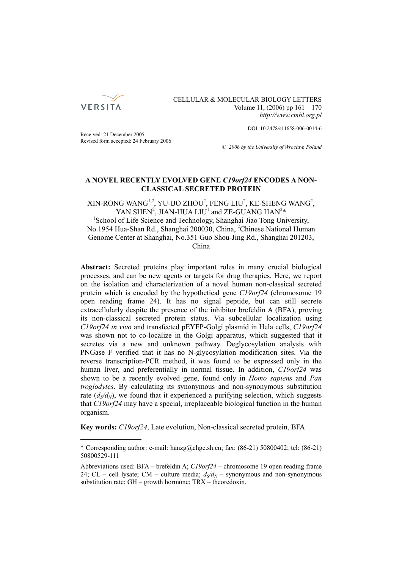

#### CELLULAR & MOLECULAR BIOLOGY LETTERS Volume 11, (2006) pp 161 – 170  *http://www.cmbl.org.pl*

DOI: 10.2478/s11658-006-0014-6

Received: 21 December 2005 Revised form accepted: 24 February 2006

*© 2006 by the University of Wrocław, Poland*

# **A NOVEL RECENTLY EVOLVED GENE** *C19orf24* **ENCODES A NON-CLASSICAL SECRETED PROTEIN**

XIN-RONG WANG<sup>1,2</sup>, YU-BO ZHOU<sup>2</sup>, FENG LIU<sup>2</sup>, KE-SHENG WANG<sup>2</sup>, YAN SHEN<sup>2</sup>, JIAN-HUA LIU<sup>1</sup> and ZE-GUANG HAN<sup>2\*</sup><br><sup>1</sup>Sebecl of Life Science and Technology, Shanghai Lise Tong Uni <sup>1</sup>School of Life Science and Technology, Shanghai Jiao Tong University, No.1954 Hua-Shan Rd., Shanghai 200030, China, <sup>2</sup>Chinese National Human Genome Center at Shanghai, No.351 Guo Shou-Jing Rd., Shanghai 201203, China

**Abstract:** Secreted proteins play important roles in many crucial biological processes, and can be new agents or targets for drug therapies. Here, we report on the isolation and characterization of a novel human non-classical secreted protein which is encoded by the hypothetical gene *C19orf24* (chromosome 19 open reading frame 24). It has no signal peptide, but can still secrete extracellularly despite the presence of the inhibitor brefeldin A (BFA), proving its non-classical secreted protein status. Via subcellular localization using *C19orf24 in vivo* and transfected pEYFP-Golgi plasmid in Hela cells, *C19orf24* was shown not to co-localize in the Golgi apparatus, which suggested that it secretes via a new and unknown pathway. Deglycosylation analysis with PNGase F verified that it has no N-glycosylation modification sites. Via the reverse transcription-PCR method, it was found to be expressed only in the human liver, and preferentially in normal tissue. In addition, *C19orf24* was shown to be a recently evolved gene, found only in *Homo sapiens* and *Pan troglodytes*. By calculating its synonymous and non-synonymous substitution rate  $(d<sub>S</sub>/d<sub>N</sub>)$ , we found that it experienced a purifying selection, which suggests that *C19orf24* may have a special, irreplaceable biological function in the human organism.

**Key words:** *C19orf24*, Late evolution, Non-classical secreted protein, BFA

<sup>\*</sup> Corresponding author: e-mail: hanzg@chgc.sh.cn; fax: (86-21) 50800402; tel: (86-21) 50800529-111

Abbreviations used: BFA – brefeldin A; *C19orf24* – chromosome 19 open reading frame 24; CL – cell lysate; CM – culture media;  $d_S/d_N$  – synonymous and non-synonymous substitution rate; GH – growth hormone; TRX – theoredoxin.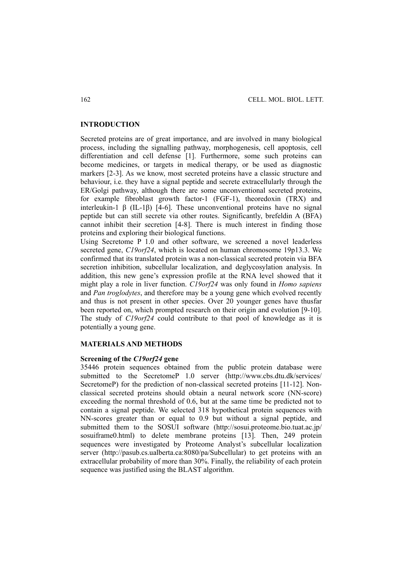# **INTRODUCTION**

Secreted proteins are of great importance, and are involved in many biological process, including the signalling pathway, morphogenesis, cell apoptosis, cell differentiation and cell defense [1]. Furthermore, some such proteins can become medicines, or targets in medical therapy, or be used as diagnostic markers [2-3]. As we know, most secreted proteins have a classic structure and behaviour, i.e. they have a signal peptide and secrete extracellularly through the ER/Golgi pathway, although there are some unconventional secreted proteins, for example fibroblast growth factor-1 (FGF-1), theoredoxin (TRX) and interleukin-1 β (IL-1β) [4-6]. These unconventional proteins have no signal peptide but can still secrete via other routes. Significantly, brefeldin A (BFA) cannot inhibit their secretion [4-8]. There is much interest in finding those proteins and exploring their biological functions.

Using Secretome P 1.0 and other software, we screened a novel leaderless secreted gene, *C19orf24*, which is located on human chromosome 19p13.3. We confirmed that its translated protein was a non-classical secreted protein via BFA secretion inhibition, subcellular localization, and deglycosylation analysis. In addition, this new gene's expression profile at the RNA level showed that it might play a role in liver function. *C19orf24* was only found in *Homo sapiens* and *Pan troglodytes*, and therefore may be a young gene which evolved recently and thus is not present in other species. Over 20 younger genes have thusfar been reported on, which prompted research on their origin and evolution [9-10]. The study of *C19orf24* could contribute to that pool of knowledge as it is potentially a young gene.

# **MATERIALS AND METHODS**

#### **Screening of the** *C19orf24* **gene**

35446 protein sequences obtained from the public protein database were submitted to the SecretomeP 1.0 server (http://www.cbs.dtu.dk/services/ SecretomeP) for the prediction of non-classical secreted proteins [11-12]. Nonclassical secreted proteins should obtain a neural network score (NN-score) exceeding the normal threshold of 0.6, but at the same time be predicted not to contain a signal peptide. We selected 318 hypothetical protein sequences with NN-scores greater than or equal to 0.9 but without a signal peptide, and submitted them to the SOSUI software (http://sosui.proteome.bio.tuat.ac.jp/ sosuiframe0.html) to delete membrane proteins [13]. Then, 249 protein sequences were investigated by Proteome Analyst's subcellular localization server (http://pasub.cs.ualberta.ca:8080/pa/Subcellular) to get proteins with an extracellular probability of more than 30%. Finally, the reliability of each protein sequence was justified using the BLAST algorithm.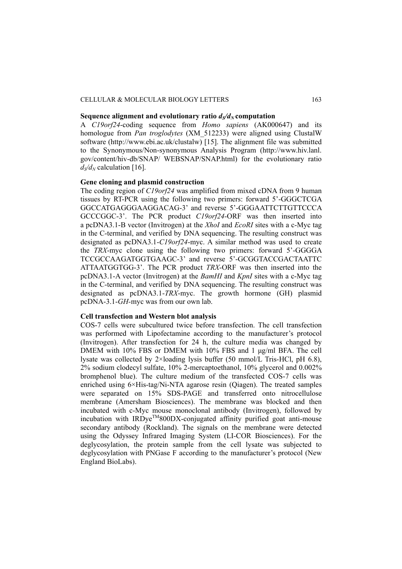#### CELLULAR & MOLECULAR BIOLOGY LETTERS 163

# **Sequence alignment and evolutionary ratio**  $d\sqrt{d}N$  **computation**

A *C19orf24*-coding sequence from *Homo sapiens* (AK000647) and its homologue from *Pan troglodytes* (XM\_512233) were aligned using ClustalW software (http://www.ebi.ac.uk/clustalw) [15]. The alignment file was submitted to the Synonymous/Non-synonymous Analysis Program (http://www.hiv.lanl. gov/content/hiv-db/SNAP/ WEBSNAP/SNAP.html) for the evolutionary ratio  $d\sqrt{d_N}$  calculation [16].

#### **Gene cloning and plasmid construction**

The coding region of *C19orf24* was amplified from mixed cDNA from 9 human tissues by RT-PCR using the following two primers: forward 5'-GGGCTCGA GGCCATGAGGGAAGGACAG-3' and reverse 5'-GGGAATTCTTGTTCCCA GCCCGGC-3'. The PCR product *C19orf24*-ORF was then inserted into a pcDNA3.1-B vector (Invitrogen) at the *XhoI* and *EcoRI* sites with a c-Myc tag in the C-terminal, and verified by DNA sequencing. The resulting construct was designated as pcDNA3.1-*C19orf24*-myc. A similar method was used to create the *TRX*-myc clone using the following two primers: forward 5'-GGGGA TCCGCCAAGATGGTGAAGC-3' and reverse 5'-GCGGTACCGACTAATTC ATTAATGGTGG-3'. The PCR product *TRX*-ORF was then inserted into the pcDNA3.1-A vector (Invitrogen) at the *BamHI* and *KpnI* sites with a c-Myc tag in the C-terminal, and verified by DNA sequencing. The resulting construct was designated as pcDNA3.1-*TRX*-myc. The growth hormone (GH) plasmid pcDNA-3.1-*GH-*myc was from our own lab.

#### **Cell transfection and Western blot analysis**

COS-7 cells were subcultured twice before transfection. The cell transfection was performed with Lipofectamine according to the manufacturer's protocol (Invitrogen). After transfection for 24 h, the culture media was changed by DMEM with 10% FBS or DMEM with 10% FBS and 1 μg/ml BFA. The cell lysate was collected by 2×loading lysis buffer (50 mmol/L Tris-HCl, pH 6.8), 2% sodium clodecyl sulfate, 10% 2-mercaptoethanol, 10% glycerol and 0.002% bromphenol blue). The culture medium of the transfected COS-7 cells was enriched using 6×His-tag/Ni-NTA agarose resin (Qiagen). The treated samples were separated on 15% SDS-PAGE and transferred onto nitrocellulose membrane (Amersham Biosciences). The membrane was blocked and then incubated with c-Myc mouse monoclonal antibody (Invitrogen), followed by  $incubation$  with IRDve<sup>TM</sup>800DX-conjugated affinity purified goat anti-mouse secondary antibody (Rockland). The signals on the membrane were detected using the Odyssey Infrared Imaging System (LI-COR Biosciences). For the deglycosylation, the protein sample from the cell lysate was subjected to deglycosylation with PNGase F according to the manufacturer's protocol (New England BioLabs).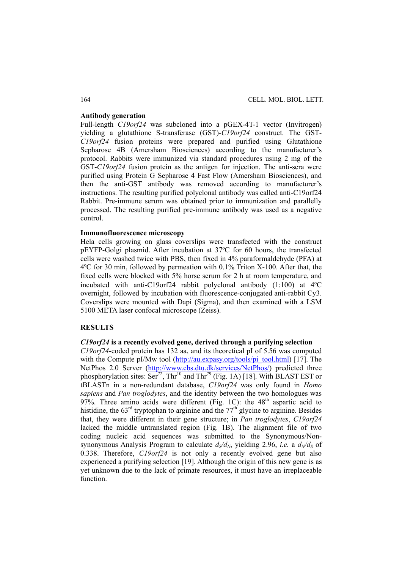#### **Antibody generation**

Full-length *C19orf24* was subcloned into a pGEX-4T-1 vector (Invitrogen) yielding a glutathione S-transferase (GST)-*C19orf24* construct. The GST-*C19orf24* fusion proteins were prepared and purified using Glutathione Sepharose 4B (Amersham Biosciences) according to the manufacturer's protocol. Rabbits were immunized via standard procedures using 2 mg of the GST-*C19orf24* fusion protein as the antigen for injection. The anti-sera were purified using Protein G Sepharose 4 Fast Flow (Amersham Biosciences), and then the anti-GST antibody was removed according to manufacturer's instructions. The resulting purified polyclonal antibody was called anti-C19orf24 Rabbit. Pre-immune serum was obtained prior to immunization and parallelly processed. The resulting purified pre-immune antibody was used as a negative control.

# **Immunofluorescence microscopy**

Hela cells growing on glass coverslips were transfected with the construct pEYFP-Golgi plasmid. After incubation at 37ºC for 60 hours, the transfected cells were washed twice with PBS, then fixed in 4% paraformaldehyde (PFA) at 4ºC for 30 min, followed by permeation with 0.1% Triton X-100. After that, the fixed cells were blocked with 5% horse serum for 2 h at room temperature, and incubated with anti-C19orf24 rabbit polyclonal antibody (1:100) at 4ºC overnight, followed by incubation with fluorescence-conjugated anti-rabbit Cy3. Coverslips were mounted with Dapi (Sigma), and then examined with a LSM 5100 META laser confocal microscope (Zeiss).

## **RESULTS**

#### *C19orf24* **is a recently evolved gene, derived through a purifying selection**

*C19orf24*-coded protein has 132 aa, and its theoretical pI of 5.56 was computed with the Compute pI/Mw tool ( $\frac{http://au.expasy.org/tools/pi}$  tool.html) [17]. The NetPhos 2.0 Server (http://www.cbs.dtu.dk/services/NetPhos/) predicted three phosphorylation sites:  $\text{Ser}^{72}$ ,  $\text{Thr}^{10}$  and  $\text{Thr}^{79}$  (Fig. 1A) [18]. With BLAST EST or tBLASTn in a non-redundant database, *C19orf24* was only found in *Homo sapiens* and *Pan troglodytes*, and the identity between the two homologues was 97%. Three amino acids were different (Fig. 1C): the  $48<sup>th</sup>$  aspartic acid to histidine, the  $63<sup>rd</sup>$  tryptophan to arginine and the  $77<sup>th</sup>$  glycine to arginine. Besides that, they were different in their gene structure; in *Pan troglodytes*, *C19orf24* lacked the middle untranslated region (Fig. 1B). The alignment file of two coding nucleic acid sequences was submitted to the Synonymous/Nonsynonymous Analysis Program to calculate  $d_S/d_N$ , yielding 2.96, *i.e.* a  $d_N/d_S$  of 0.338. Therefore, *C19orf24* is not only a recently evolved gene but also experienced a purifying selection [19]. Although the origin of this new gene is as yet unknown due to the lack of primate resources, it must have an irreplaceable function.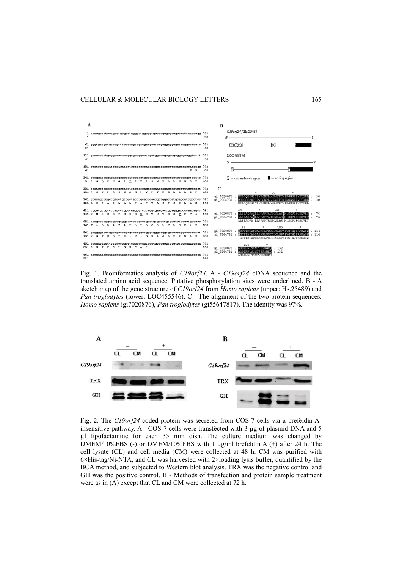

Fig. 1. Bioinformatics analysis of *C19orf24*. A - *C19orf24* cDNA sequence and the translated amino acid sequence. Putative phosphorylation sites were underlined. B - A sketch map of the gene structure of *C19orf24* from *Homo sapiens* (upper: Hs.25489) and *Pan troglodytes* (lower: LOC455546). C - The alignment of the two protein sequences: *Homo sapiens* (gi7020876), *Pan troglodytes* (gi55647817). The identity was 97%.



Fig. 2. The *C19orf24*-coded protein was secreted from COS-7 cells via a brefeldin Ainsensitive pathway. A - COS-7 cells were transfected with 3  $\mu$ g of plasmid DNA and 5 µl lipofactamine for each 35 mm dish. The culture medium was changed by DMEM/10%FBS (-) or DMEM/10%FBS with 1 µg/ml brefeldin A (+) after 24 h. The cell lysate (CL) and cell media (CM) were collected at 48 h. CM was purified with 6×His-tag/Ni-NTA, and CL was harvested with 2×loading lysis buffer, quantified by the BCA method, and subjected to Western blot analysis. TRX was the negative control and GH was the positive control. B - Methods of transfection and protein sample treatment were as in (A) except that CL and CM were collected at 72 h.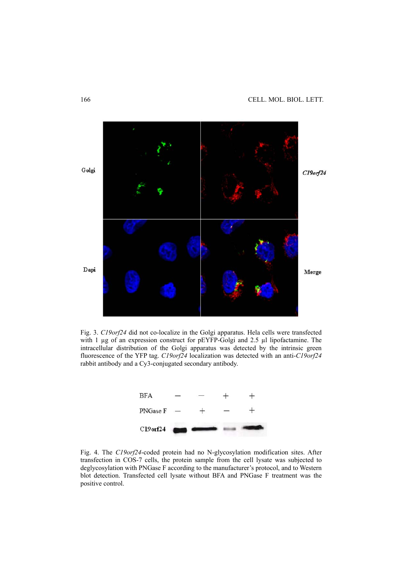

Fig. 3. *C19orf24* did not co-localize in the Golgi apparatus. Hela cells were transfected with 1 µg of an expression construct for pEYFP-Golgi and 2.5 µl lipofactamine. The intracellular distribution of the Golgi apparatus was detected by the intrinsic green fluorescence of the YFP tag. *C19orf24* localization was detected with an anti-*C19orf24* rabbit antibody and a Cy3-conjugated secondary antibody.



Fig. 4. The *C19orf24*-coded protein had no N-glycosylation modification sites. After transfection in COS-7 cells, the protein sample from the cell lysate was subjected to deglycosylation with PNGase F according to the manufacturer's protocol, and to Western blot detection. Transfected cell lysate without BFA and PNGase F treatment was the positive control.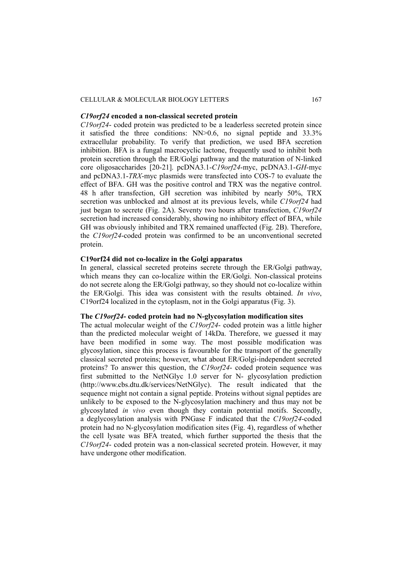# CELLULAR & MOLECULAR BIOLOGY LETTERS 167

# *C19orf24* **encoded a non-classical secreted protein**

*C19orf24*- coded protein was predicted to be a leaderless secreted protein since it satisfied the three conditions: NN>0.6, no signal peptide and 33.3% extracellular probability. To verify that prediction, we used BFA secretion inhibition. BFA is a fungal macrocyclic lactone, frequently used to inhibit both protein secretion through the ER/Golgi pathway and the maturation of N-linked core oligosaccharides [20-21]. pcDNA3.1-*C19orf24*-myc, pcDNA3.1-*GH*-myc and pcDNA3.1-*TRX*-myc plasmids were transfected into COS-7 to evaluate the effect of BFA. GH was the positive control and TRX was the negative control. 48 h after transfection, GH secretion was inhibited by nearly 50%, TRX secretion was unblocked and almost at its previous levels, while *C19orf24* had just began to secrete (Fig. 2A). Seventy two hours after transfection, *C19orf24*  secretion had increased considerably, showing no inhibitory effect of BFA, while GH was obviously inhibited and TRX remained unaffected (Fig. 2B). Therefore, the *C19orf24*-coded protein was confirmed to be an unconventional secreted protein.

#### **C19orf24 did not co-localize in the Golgi apparatus**

In general, classical secreted proteins secrete through the ER/Golgi pathway, which means they can co-localize within the ER/Golgi. Non-classical proteins do not secrete along the ER/Golgi pathway, so they should not co-localize within the ER/Golgi. This idea was consistent with the results obtained. *In vivo*, C19orf24 localized in the cytoplasm, not in the Golgi apparatus (Fig. 3).

#### **The** *C19orf24***- coded protein had no N-glycosylation modification sites**

The actual molecular weight of the *C19orf24*- coded protein was a little higher than the predicted molecular weight of 14kDa. Therefore, we guessed it may have been modified in some way. The most possible modification was glycosylation, since this process is favourable for the transport of the generally classical secreted proteins; however, what about ER/Golgi-independent secreted proteins? To answer this question, the *C19orf24*- coded protein sequence was first submitted to the NetNGlyc 1.0 server for N- glycosylation prediction (http://www.cbs.dtu.dk/services/NetNGlyc). The result indicated that the sequence might not contain a signal peptide. Proteins without signal peptides are unlikely to be exposed to the N-glycosylation machinery and thus may not be glycosylated *in vivo* even though they contain potential motifs. Secondly, a deglycosylation analysis with PNGase F indicated that the *C19orf24*-coded protein had no N-glycosylation modification sites (Fig. 4), regardless of whether the cell lysate was BFA treated, which further supported the thesis that the *C19orf24*- coded protein was a non-classical secreted protein. However, it may have undergone other modification.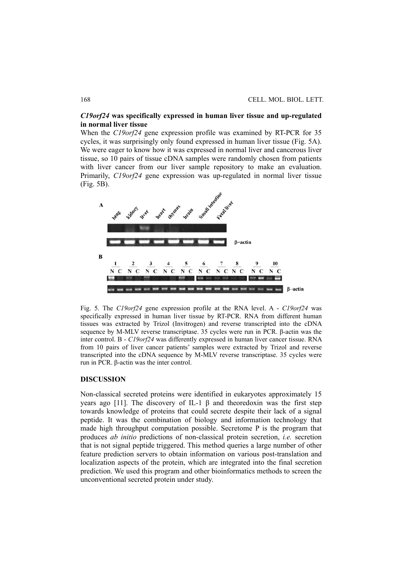# *C19orf24* **was specifically expressed in human liver tissue and up-regulated in normal liver tissue**

When the *C19orf24* gene expression profile was examined by RT-PCR for 35 cycles, it was surprisingly only found expressed in human liver tissue (Fig. 5A). We were eager to know how it was expressed in normal liver and cancerous liver tissue, so 10 pairs of tissue cDNA samples were randomly chosen from patients with liver cancer from our liver sample repository to make an evaluation. Primarily, *C19orf24* gene expression was up-regulated in normal liver tissue (Fig. 5B).



Fig. 5. The *C19orf24* gene expression profile at the RNA level. A - *C19orf24* was specifically expressed in human liver tissue by RT-PCR. RNA from different human tissues was extracted by Trizol (Invitrogen) and reverse transcripted into the cDNA sequence by M-MLV reverse transcriptase. 35 cycles were run in PCR. β-actin was the inter control. B - *C19orf24* was differently expressed in human liver cancer tissue. RNA from 10 pairs of liver cancer patients' samples were extracted by Trizol and reverse transcripted into the cDNA sequence by M-MLV reverse transcriptase. 35 cycles were run in PCR. β-actin was the inter control.

# **DISCUSSION**

Non-classical secreted proteins were identified in eukaryotes approximately 15 years ago [11]. The discovery of IL-1 β and theoredoxin was the first step towards knowledge of proteins that could secrete despite their lack of a signal peptide. It was the combination of biology and information technology that made high throughput computation possible. Secretome P is the program that produces *ab initio* predictions of non-classical protein secretion, *i.e.* secretion that is not signal peptide triggered. This method queries a large number of other feature prediction servers to obtain information on various post-translation and localization aspects of the protein, which are integrated into the final secretion prediction. We used this program and other bioinformatics methods to screen the unconventional secreted protein under study.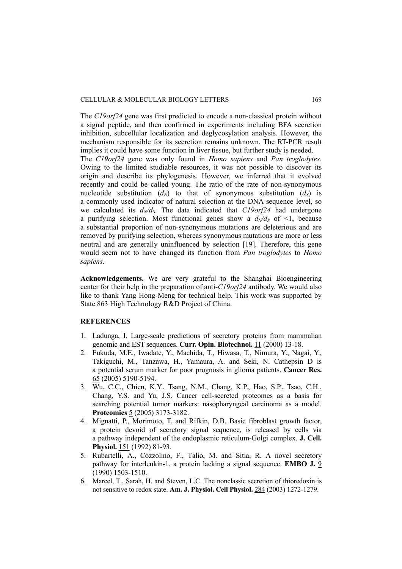The *C19orf24* gene was first predicted to encode a non-classical protein without a signal peptide, and then confirmed in experiments including BFA secretion inhibition, subcellular localization and deglycosylation analysis. However, the mechanism responsible for its secretion remains unknown. The RT-PCR result implies it could have some function in liver tissue, but further study is needed. The *C19orf24* gene was only found in *Homo sapiens* and *Pan troglodytes*. Owing to the limited studiable resources, it was not possible to discover its origin and describe its phylogenesis. However, we inferred that it evolved recently and could be called young. The ratio of the rate of non-synonymous nucleotide substitution  $(d_N)$  to that of synonymous substitution  $(d_S)$  is a commonly used indicator of natural selection at the DNA sequence level, so we calculated its  $d_N/d_S$ . The data indicated that  $C19$ orf24 had undergone a purifying selection. Most functional genes show a  $d_N/d_S$  of <1, because a substantial proportion of non-synonymous mutations are deleterious and are removed by purifying selection, whereas synonymous mutations are more or less neutral and are generally uninfluenced by selection [19]. Therefore, this gene would seem not to have changed its function from *Pan troglodytes* to *Homo sapiens*.

**Acknowledgements.** We are very grateful to the Shanghai Bioengineering center for their help in the preparation of anti-*C19orf24* antibody. We would also like to thank Yang Hong-Meng for technical help. This work was supported by State 863 High Technology R&D Project of China.

# **REFERENCES**

- 1. Ladunga, I. Large-scale predictions of secretory proteins from mammalian genomic and EST sequences. **Curr. Opin. Biotechnol.** 11 (2000) 13-18.
- 2. Fukuda, M.E., Iwadate, Y., Machida, T., Hiwasa, T., Nimura, Y., Nagai, Y., Takiguchi, M., Tanzawa, H., Yamaura, A. and Seki, N. Cathepsin D is a potential serum marker for poor prognosis in glioma patients. **Cancer Res.** 65 (2005) 5190-5194.
- 3. Wu, C.C., Chien, K.Y., Tsang, N.M., Chang, K.P., Hao, S.P., Tsao, C.H., Chang, Y.S. and Yu, J.S. Cancer cell-secreted proteomes as a basis for searching potential tumor markers: nasopharyngeal carcinoma as a model. **Proteomics** 5 (2005) 3173-3182.
- 4. Mignatti, P., Morimoto, T. and Rifkin, D.B. Basic fibroblast growth factor, a protein devoid of secretory signal sequence, is released by cells via a pathway independent of the endoplasmic reticulum-Golgi complex. **J. Cell. Physiol.** 151 (1992) 81-93.
- 5. Rubartelli, A., Cozzolino, F., Talio, M. and Sitia, R. A novel secretory pathway for interleukin-1, a protein lacking a signal sequence. **EMBO J.** 9 (1990) 1503-1510.
- 6. Marcel, T., Sarah, H. and Steven, L.C. The nonclassic secretion of thioredoxin is not sensitive to redox state. **Am. J. Physiol. Cell Physiol.** 284 (2003) 1272-1279.